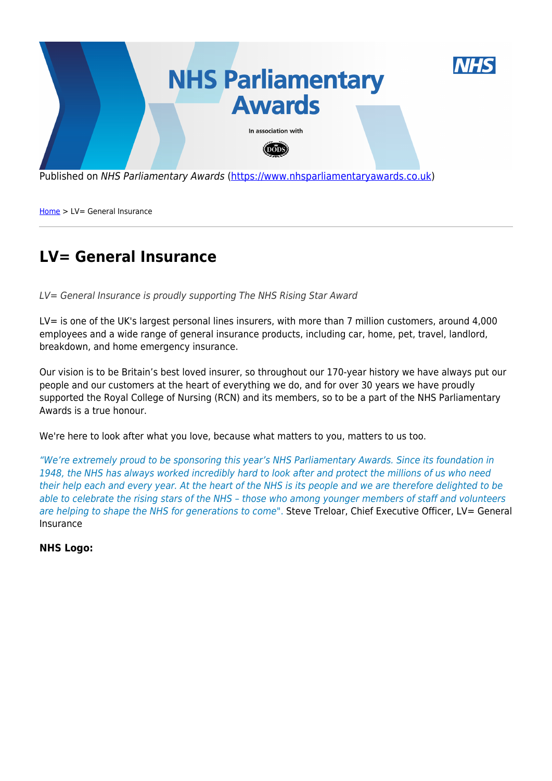

Published on NHS Parliamentary Awards [\(https://www.nhsparliamentaryawards.co.uk](https://www.nhsparliamentaryawards.co.uk))

[Home](https://www.nhsparliamentaryawards.co.uk/) > LV= General Insurance

## **LV= General Insurance**

LV= General Insurance is proudly supporting The NHS Rising Star Award

LV= is one of the UK's largest personal lines insurers, with more than 7 million customers, around 4,000 employees and a wide range of general insurance products, including car, home, pet, travel, landlord, breakdown, and home emergency insurance.

Our vision is to be Britain's best loved insurer, so throughout our 170-year history we have always put our people and our customers at the heart of everything we do, and for over 30 years we have proudly supported the Royal College of Nursing (RCN) and its members, so to be a part of the NHS Parliamentary Awards is a true honour.

We're here to look after what you love, because what matters to you, matters to us too.

"We're extremely proud to be sponsoring this year's NHS Parliamentary Awards. Since its foundation in 1948, the NHS has always worked incredibly hard to look after and protect the millions of us who need their help each and every year. At the heart of the NHS is its people and we are therefore delighted to be able to celebrate the rising stars of the NHS – those who among younger members of staff and volunteers are helping to shape the NHS for generations to come". Steve Treloar, Chief Executive Officer, LV= General Insurance

**NHS Logo:**